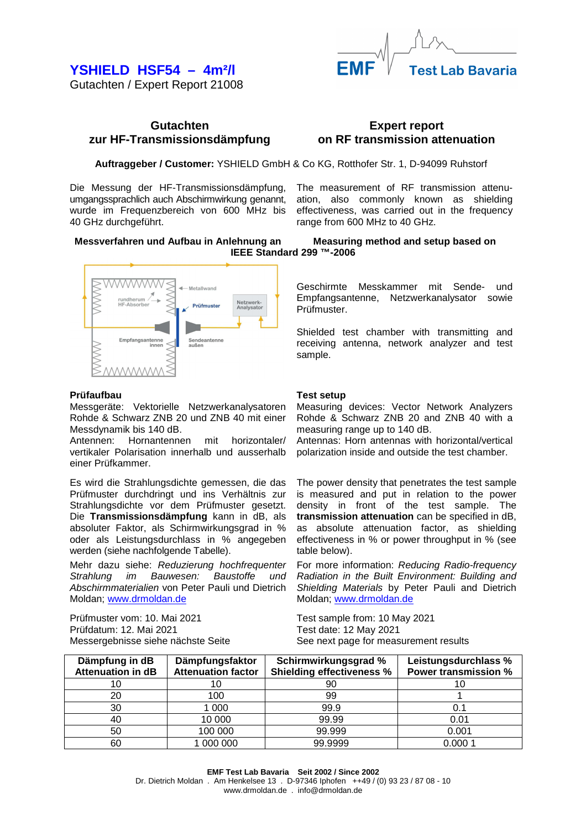## **YSHIELD HSF54 – 4m²/l**

Gutachten / Expert Report 21008

## **Gutachten zur HF-Transmissionsdämpfung**

## **Expert report on RF transmission attenuation**

**Auftraggeber / Customer:** YSHIELD GmbH & Co KG, Rotthofer Str. 1, D-94099 Ruhstorf

Die Messung der HF-Transmissionsdämpfung, umgangssprachlich auch Abschirmwirkung genannt, wurde im Frequenzbereich von 600 MHz bis 40 GHz durchgeführt.

The measurement of RF transmission attenuation, also commonly known as shielding effectiveness, was carried out in the frequency range from 600 MHz to 40 GHz.

**Messverfahren und Aufbau in Anlehnung an Measuring method and setup based on IEEE Standard 299 ™-2006** 



## **Prüfaufbau**

Messgeräte: Vektorielle Netzwerkanalysatoren Rohde & Schwarz ZNB 20 und ZNB 40 mit einer Messdynamik bis 140 dB.

Antennen: Hornantennen mit horizontaler/ vertikaler Polarisation innerhalb und ausserhalb einer Prüfkammer.

Es wird die Strahlungsdichte gemessen, die das Prüfmuster durchdringt und ins Verhältnis zur Strahlungsdichte vor dem Prüfmuster gesetzt. Die **Transmissionsdämpfung** kann in dB, als absoluter Faktor, als Schirmwirkungsgrad in % oder als Leistungsdurchlass in % angegeben werden (siehe nachfolgende Tabelle).

Mehr dazu siehe: Reduzierung hochfrequenter Strahlung im Bauwesen: Baustoffe und Abschirmmaterialien von Peter Pauli und Dietrich Moldan; www.drmoldan.de

Prüfmuster vom: 10. Mai 2021 Prüfdatum: 12. Mai 2021 Messergebnisse siehe nächste Seite Geschirmte Messkammer mit Sende- und Empfangsantenne, Netzwerkanalysator sowie Prüfmuster.

Shielded test chamber with transmitting and receiving antenna, network analyzer and test sample.

## **Test setup**

Measuring devices: Vector Network Analyzers Rohde & Schwarz ZNB 20 and ZNB 40 with a measuring range up to 140 dB.

Antennas: Horn antennas with horizontal/vertical polarization inside and outside the test chamber.

The power density that penetrates the test sample is measured and put in relation to the power density in front of the test sample. The **transmission attenuation** can be specified in dB, as absolute attenuation factor, as shielding effectiveness in % or power throughput in % (see table below).

For more information: Reducing Radio-frequency Radiation in the Built Environment: Building and Shielding Materials by Peter Pauli and Dietrich Moldan; www.drmoldan.de

Test sample from: 10 May 2021 Test date: 12 May 2021 See next page for measurement results

| Dämpfung in dB<br><b>Attenuation in dB</b> | Dämpfungsfaktor<br><b>Attenuation factor</b> | Schirmwirkungsgrad %<br><b>Shielding effectiveness %</b> | Leistungsdurchlass %<br><b>Power transmission %</b> |
|--------------------------------------------|----------------------------------------------|----------------------------------------------------------|-----------------------------------------------------|
| 10                                         |                                              | 90                                                       |                                                     |
| 20                                         | 100                                          | 99                                                       |                                                     |
| 30                                         | 1 000                                        | 99.9                                                     | 0.1                                                 |
| 40                                         | 10 000                                       | 99.99                                                    | 0.01                                                |
| 50                                         | 100 000                                      | 99.999                                                   | 0.001                                               |
| 60                                         | 000 000                                      | 99.9999                                                  | 0.0001                                              |

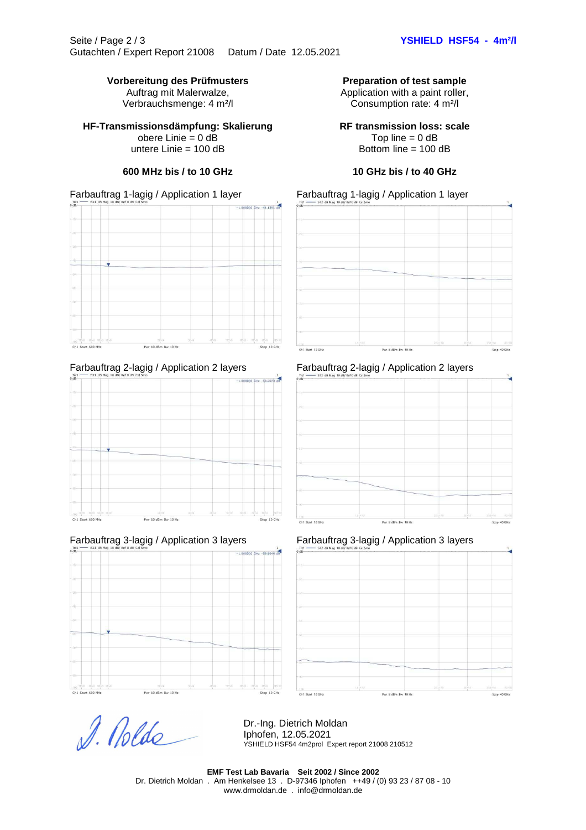## Vorbereitung des Prüfmusters **Preparation of test sample**

Auftrag mit Malerwalze, Verbrauchsmenge: 4 m²/l

## **HF-Transmissionsdämpfung: Skalierung**

obere Linie = 0 dB untere Linie = 100 dB

## Farbauftrag 1-lagig / Application 1 layer Farbauftrag 1-lagig / Application 1 layer







# D. Nolde

### Dr.-Ing. Dietrich Moldan Iphofen, 12.05.2021 YSHIELD HSF54 4m2prol Expert report 21008 210512

**EMF Test Lab Bavaria Seit 2002 / Since 2002**  Dr. Dietrich Moldan . Am Henkelsee 13 . D-97346 Iphofen ++49 / (0) 93 23 / 87 08 - 10

www.drmoldan.de . info@drmoldan.de

## Bottom line = 100 dB **600 MHz bis / to 10 GHz 10 GHz bis / to 40 GHz**



Application with a paint roller, Consumption rate: 4 m²/l

**RF transmission loss: scale** Top line  $= 0$  dB

## Farbauftrag 2-lagig / Application 2 layers Farbauftrag 2-lagig / Application 2 layers



## Farbauftrag 3-lagig / Application 3 layers Farbauftrag 3-lagig / Application 3 layers